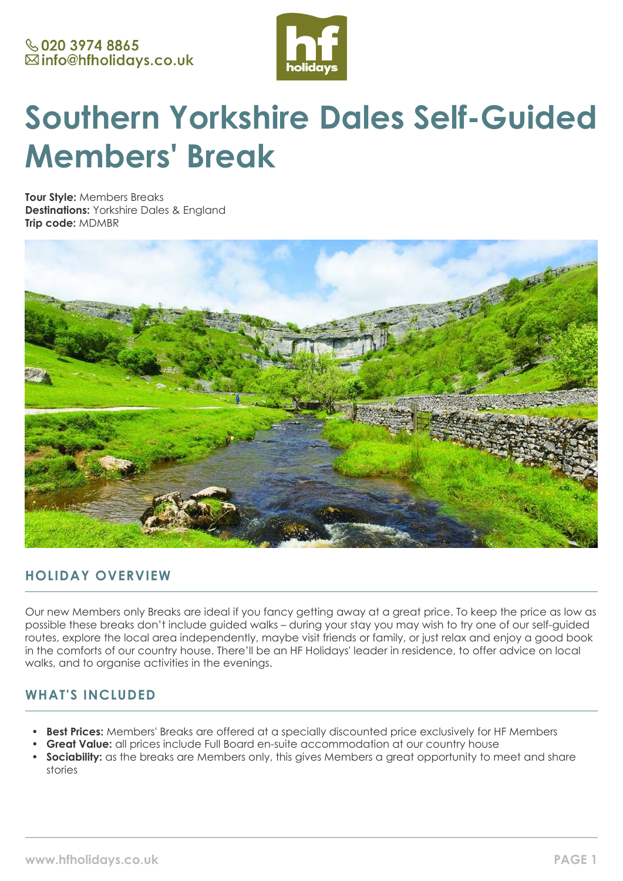

# **Southern Yorkshire Dales Self-Guided Members' Break**

**Tour Style:** Members Breaks **Destinations:** Yorkshire Dales & England **Trip code:** MDMBR



# **HOLIDAY OVERVIEW**

Our new Members only Breaks are ideal if you fancy getting away at a great price. To keep the price as low as possible these breaks don't include guided walks – during your stay you may wish to try one of our self-guided routes, explore the local area independently, maybe visit friends or family, or just relax and enjoy a good book in the comforts of our country house. There'll be an HF Holidays' leader in residence, to offer advice on local walks, and to organise activities in the evenings.

# **WHAT'S INCLUDED**

- **Best Prices:** Members' Breaks are offered at a specially discounted price exclusively for HF Members
- **Great Value:** all prices include Full Board en-suite accommodation at our country house
- **Sociability:** as the breaks are Members only, this gives Members a great opportunity to meet and share stories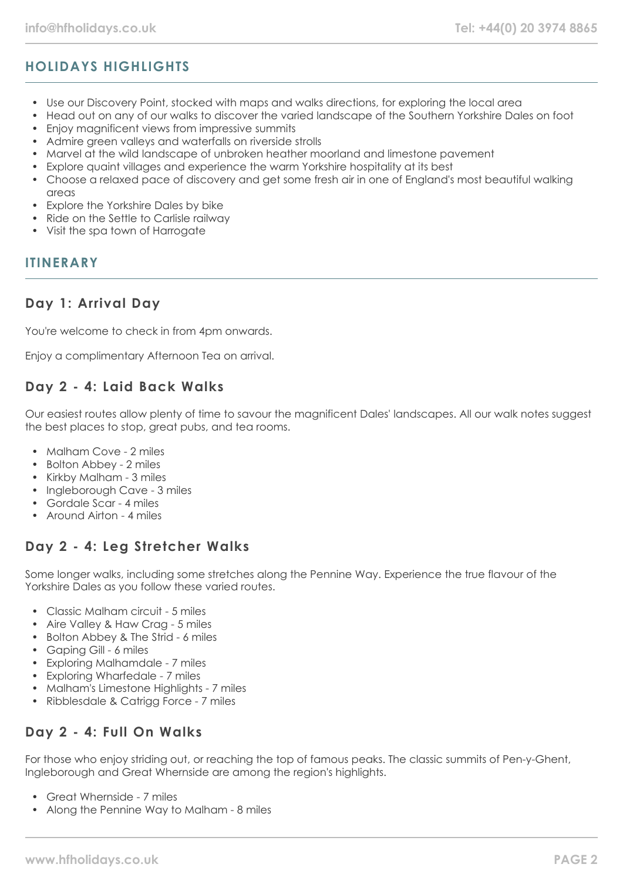# **HOLIDAYS HIGHLIGHTS**

- Use our Discovery Point, stocked with maps and walks directions, for exploring the local area
- Head out on any of our walks to discover the varied landscape of the Southern Yorkshire Dales on foot
- Enjoy magnificent views from impressive summits
- Admire green valleys and waterfalls on riverside strolls
- Marvel at the wild landscape of unbroken heather moorland and limestone pavement
- Explore quaint villages and experience the warm Yorkshire hospitality at its best
- Choose a relaxed pace of discovery and get some fresh air in one of England's most beautiful walking areas
- Explore the Yorkshire Dales by bike
- Ride on the Settle to Carlisle railway
- Visit the spa town of Harrogate

#### **ITINERARY**

## **Day 1: Arrival Day**

You're welcome to check in from 4pm onwards.

Enjoy a complimentary Afternoon Tea on arrival.

## **Day 2 - 4: Laid Back Walks**

Our easiest routes allow plenty of time to savour the magnificent Dales' landscapes. All our walk notes suggest the best places to stop, great pubs, and tea rooms.

- Malham Cove 2 miles
- Bolton Abbey 2 miles
- Kirkby Malham 3 miles
- Ingleborough Cave 3 miles
- Gordale Scar 4 miles
- Around Airton 4 miles

# **Day 2 - 4: Leg Stretcher Walks**

Some longer walks, including some stretches along the Pennine Way. Experience the true flavour of the Yorkshire Dales as you follow these varied routes.

- Classic Malham circuit 5 miles
- Aire Valley & Haw Crag 5 miles
- Bolton Abbey & The Strid 6 miles
- Gaping Gill 6 miles
- Exploring Malhamdale 7 miles
- Exploring Wharfedale 7 miles
- Malham's Limestone Highlights 7 miles
- Ribblesdale & Catrigg Force 7 miles

# **Day 2 - 4: Full On Walks**

For those who enjoy striding out, or reaching the top of famous peaks. The classic summits of Pen-y-Ghent, Ingleborough and Great Whernside are among the region's highlights.

- Great Whernside 7 miles
- Along the Pennine Way to Malham 8 miles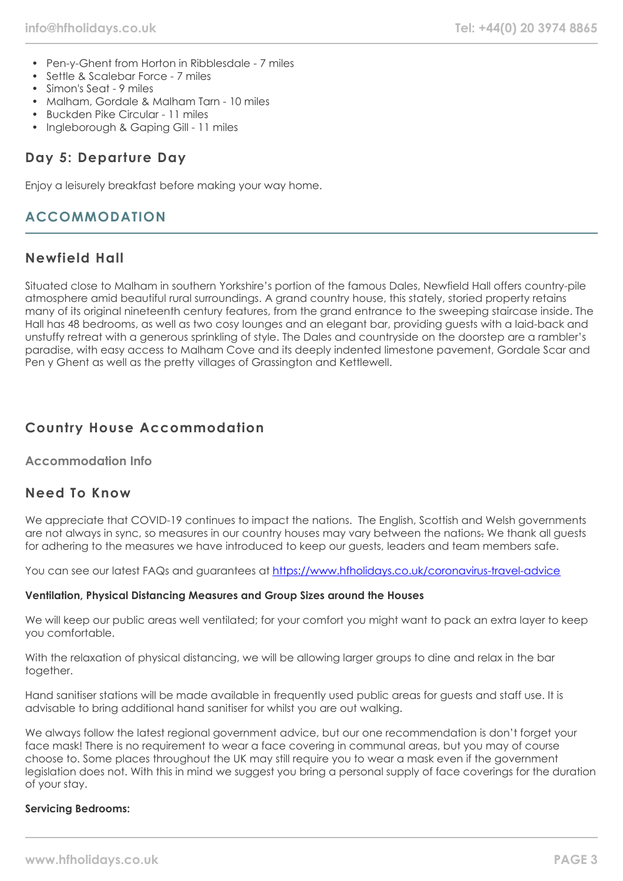- Pen-y-Ghent from Horton in Ribblesdale 7 miles
- Settle & Scalebar Force 7 miles
- Simon's Seat 9 miles
- Malham, Gordale & Malham Tarn 10 miles
- Buckden Pike Circular 11 miles
- Ingleborough & Gaping Gill 11 miles

# **Day 5: Departure Day**

Enjoy a leisurely breakfast before making your way home.

# **ACCOMMODATION**

## **Newfield Hall**

Situated close to Malham in southern Yorkshire's portion of the famous Dales, Newfield Hall offers country-pile atmosphere amid beautiful rural surroundings. A grand country house, this stately, storied property retains many of its original nineteenth century features, from the grand entrance to the sweeping staircase inside. The Hall has 48 bedrooms, as well as two cosy lounges and an elegant bar, providing guests with a laid-back and unstuffy retreat with a generous sprinkling of style. The Dales and countryside on the doorstep are a rambler's paradise, with easy access to Malham Cove and its deeply indented limestone pavement, Gordale Scar and Pen y Ghent as well as the pretty villages of Grassington and Kettlewell.

# **Country House Accommodation**

#### **Accommodation Info**

## **Need To Know**

We appreciate that COVID-19 continues to impact the nations. The English, Scottish and Welsh governments are not always in sync, so measures in our country houses may vary between the nations. We thank all guests for adhering to the measures we have introduced to keep our guests, leaders and team members safe.

You can see our latest FAQs and guarantees at <https://www.hfholidays.co.uk/coronavirus-travel-advice>

#### **Ventilation, Physical Distancing Measures and Group Sizes around the Houses**

We will keep our public areas well ventilated; for your comfort you might want to pack an extra layer to keep you comfortable.

With the relaxation of physical distancing, we will be allowing larger groups to dine and relax in the bar together.

Hand sanitiser stations will be made available in frequently used public areas for guests and staff use. It is advisable to bring additional hand sanitiser for whilst you are out walking.

We always follow the latest regional government advice, but our one recommendation is don't forget your face mask! There is no requirement to wear a face covering in communal areas, but you may of course choose to. Some places throughout the UK may still require you to wear a mask even if the government legislation does not. With this in mind we suggest you bring a personal supply of face coverings for the duration of your stay.

#### **Servicing Bedrooms:**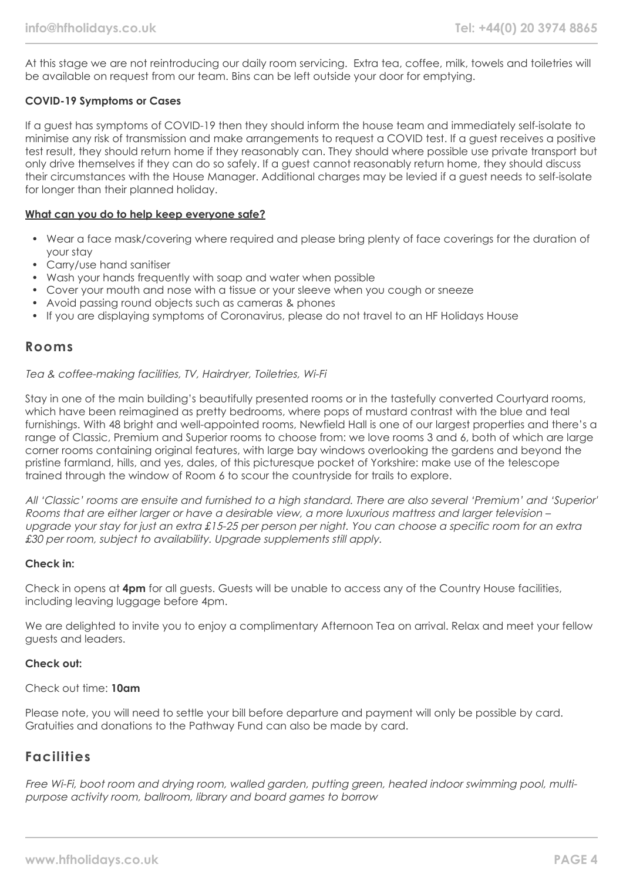At this stage we are not reintroducing our daily room servicing. Extra tea, coffee, milk, towels and toiletries will be available on request from our team. Bins can be left outside your door for emptying.

#### **COVID-19 Symptoms or Cases**

If a guest has symptoms of COVID-19 then they should inform the house team and immediately self-isolate to minimise any risk of transmission and make arrangements to request a COVID test. If a guest receives a positive test result, they should return home if they reasonably can. They should where possible use private transport but only drive themselves if they can do so safely. If a guest cannot reasonably return home, they should discuss their circumstances with the House Manager. Additional charges may be levied if a guest needs to self-isolate for longer than their planned holiday.

#### **What can you do to help keep everyone safe?**

- Wear a face mask/covering where required and please bring plenty of face coverings for the duration of your stay
- Carry/use hand sanitiser
- Wash your hands frequently with soap and water when possible
- Cover your mouth and nose with a tissue or your sleeve when you cough or sneeze
- Avoid passing round objects such as cameras & phones
- If you are displaying symptoms of Coronavirus, please do not travel to an HF Holidays House

#### **Rooms**

#### Tea & coffee-making facilities, TV, Hairdryer, Toiletries, Wi-Fi

Stay in one of the main building's beautifully presented rooms or in the tastefully converted Courtyard rooms, which have been reimagined as pretty bedrooms, where pops of mustard contrast with the blue and teal furnishings. With 48 bright and well-appointed rooms, Newfield Hall is one of our largest properties and there's a range of Classic, Premium and Superior rooms to choose from: we love rooms 3 and 6, both of which are large corner rooms containing original features, with large bay windows overlooking the gardens and beyond the pristine farmland, hills, and yes, dales, of this picturesque pocket of Yorkshire: make use of the telescope trained through the window of Room 6 to scour the countryside for trails to explore.

All 'Classic' rooms are ensuite and furnished to a high standard. There are also several 'Premium' and 'Superior' Rooms that are either larger or have a desirable view, a more luxurious mattress and larger television – upgrade your stay for just an extra £15-25 per person per night. You can choose a specific room for an extra £30 per room, subject to availability. Upgrade supplements still apply.

#### **Check in:**

Check in opens at **4pm** for all guests. Guests will be unable to access any of the Country House facilities, including leaving luggage before 4pm.

We are delighted to invite you to enjoy a complimentary Afternoon Tea on arrival. Relax and meet your fellow guests and leaders.

#### **Check out:**

#### Check out time: **10am**

Please note, you will need to settle your bill before departure and payment will only be possible by card. Gratuities and donations to the Pathway Fund can also be made by card.

## **Facilities**

Free Wi-Fi, boot room and drying room, walled garden, putting green, heated indoor swimming pool, multipurpose activity room, ballroom, library and board games to borrow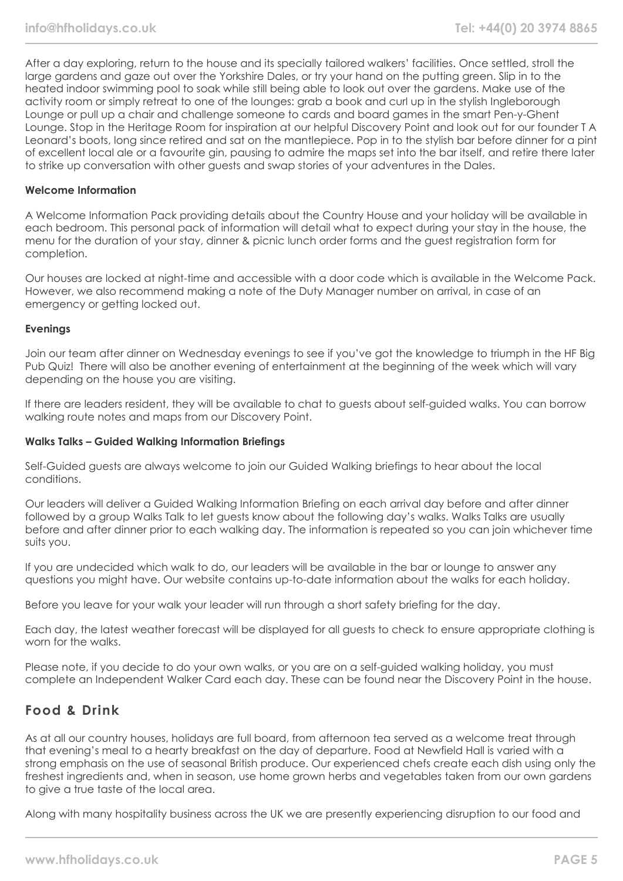After a day exploring, return to the house and its specially tailored walkers' facilities. Once settled, stroll the large gardens and gaze out over the Yorkshire Dales, or try your hand on the putting green. Slip in to the heated indoor swimming pool to soak while still being able to look out over the gardens. Make use of the activity room or simply retreat to one of the lounges: grab a book and curl up in the stylish Ingleborough Lounge or pull up a chair and challenge someone to cards and board games in the smart Pen-y-Ghent Lounge. Stop in the Heritage Room for inspiration at our helpful Discovery Point and look out for our founder T A Leonard's boots, long since retired and sat on the mantlepiece. Pop in to the stylish bar before dinner for a pint of excellent local ale or a favourite gin, pausing to admire the maps set into the bar itself, and retire there later to strike up conversation with other guests and swap stories of your adventures in the Dales.

#### **Welcome Information**

A Welcome Information Pack providing details about the Country House and your holiday will be available in each bedroom. This personal pack of information will detail what to expect during your stay in the house, the menu for the duration of your stay, dinner & picnic lunch order forms and the guest registration form for completion.

Our houses are locked at night-time and accessible with a door code which is available in the Welcome Pack. However, we also recommend making a note of the Duty Manager number on arrival, in case of an emergency or getting locked out.

#### **Evenings**

Join our team after dinner on Wednesday evenings to see if you've got the knowledge to triumph in the HF Big Pub Quiz! There will also be another evening of entertainment at the beginning of the week which will vary depending on the house you are visiting.

If there are leaders resident, they will be available to chat to guests about self-guided walks. You can borrow walking route notes and maps from our Discovery Point.

#### **Walks Talks – Guided Walking Information Briefings**

Self-Guided guests are always welcome to join our Guided Walking briefings to hear about the local conditions.

Our leaders will deliver a Guided Walking Information Briefing on each arrival day before and after dinner followed by a group Walks Talk to let guests know about the following day's walks. Walks Talks are usually before and after dinner prior to each walking day. The information is repeated so you can join whichever time suits you.

If you are undecided which walk to do, our leaders will be available in the bar or lounge to answer any questions you might have. Our website contains up-to-date information about the walks for each holiday.

Before you leave for your walk your leader will run through a short safety briefing for the day.

Each day, the latest weather forecast will be displayed for all guests to check to ensure appropriate clothing is worn for the walks.

Please note, if you decide to do your own walks, or you are on a self-guided walking holiday, you must complete an Independent Walker Card each day. These can be found near the Discovery Point in the house.

## **Food & Drink**

As at all our country houses, holidays are full board, from afternoon tea served as a welcome treat through that evening's meal to a hearty breakfast on the day of departure. Food at Newfield Hall is varied with a strong emphasis on the use of seasonal British produce. Our experienced chefs create each dish using only the freshest ingredients and, when in season, use home grown herbs and vegetables taken from our own gardens to give a true taste of the local area.

Along with many hospitality business across the UK we are presently experiencing disruption to our food and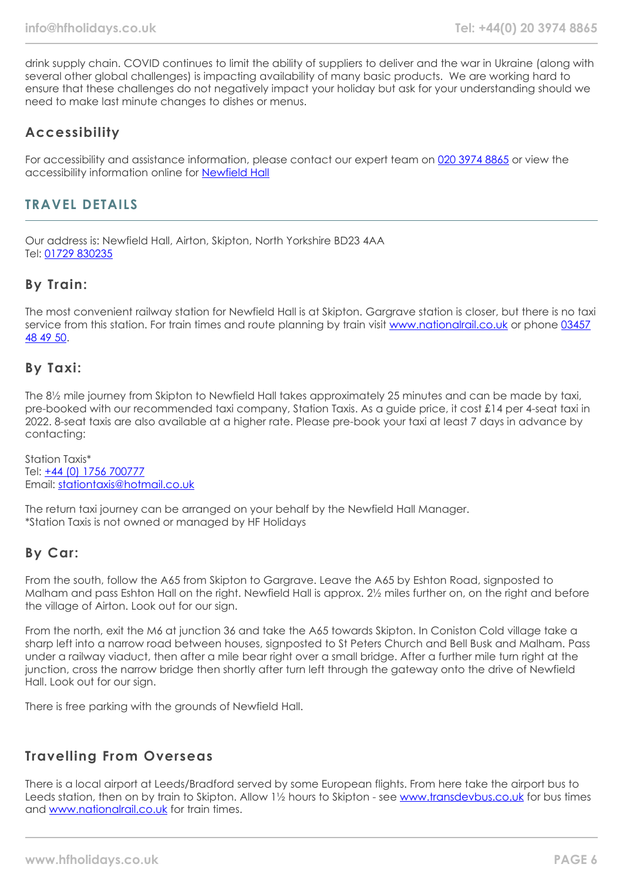drink supply chain. COVID continues to limit the ability of suppliers to deliver and the war in Ukraine (along with several other global challenges) is impacting availability of many basic products. We are working hard to ensure that these challenges do not negatively impact your holiday but ask for your understanding should we need to make last minute changes to dishes or menus.

# **Accessibility**

For accessibility and assistance information, please contact our expert team on [020 3974 8865](tel:02039748865) or view the accessibility information online for [Newfield Hall](https://www.hfholidays.co.uk/images/Documents/accessibility_statements/newfield-hall---accessibility-information---update-mar-2021.pdf)

## **TRAVEL DETAILS**

Our address is: Newfield Hall, Airton, Skipton, North Yorkshire BD23 4AA Tel: [01729 830235](tel:01729830235)

# **By Train:**

The most convenient railway station for Newfield Hall is at Skipton. Gargrave station is closer, but there is no taxi service from this station. For train times and route planning by train visit [www.nationalrail.co.uk](https://www.nationalrail.co.uk/) or phone [03457](tel:03457484950) [48 49 50.](tel:03457484950)

#### **By Taxi:**

The 8½ mile journey from Skipton to Newfield Hall takes approximately 25 minutes and can be made by taxi, pre-booked with our recommended taxi company, Station Taxis. As a guide price, it cost £14 per 4-seat taxi in 2022. 8-seat taxis are also available at a higher rate. Please pre-book your taxi at least 7 days in advance by contacting:

Station Taxis\* Tel: +44 (0) [1756 700777](tel:01756700777) Email: [stationtaxis@hotmail.co.uk](mailto:stationtaxis@hotmail.co.uk)

The return taxi journey can be arranged on your behalf by the Newfield Hall Manager. \*Station Taxis is not owned or managed by HF Holidays

## **By Car:**

From the south, follow the A65 from Skipton to Gargrave. Leave the A65 by Eshton Road, signposted to Malham and pass Eshton Hall on the right. Newfield Hall is approx. 2½ miles further on, on the right and before the village of Airton. Look out for our sign.

From the north, exit the M6 at junction 36 and take the A65 towards Skipton. In Coniston Cold village take a sharp left into a narrow road between houses, signposted to St Peters Church and Bell Busk and Malham. Pass under a railway viaduct, then after a mile bear right over a small bridge. After a further mile turn right at the junction, cross the narrow bridge then shortly after turn left through the gateway onto the drive of Newfield Hall. Look out for our sign.

There is free parking with the grounds of Newfield Hall.

## **Travelling From Overseas**

There is a local airport at Leeds/Bradford served by some European flights. From here take the airport bus to Leeds station, then on by train to Skipton. Allow 1½ hours to Skipton - see [www.transdevbus.co.uk](https://www.transdevbus.co.uk/) for bus times and [www.nationalrail.co.uk](https://www.nationalrail.co.uk/) for train times.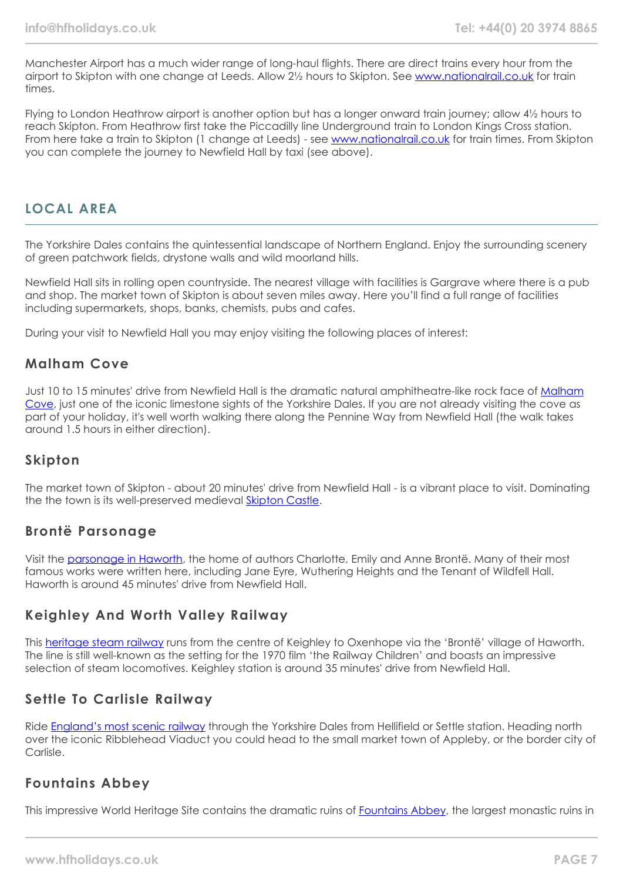Manchester Airport has a much wider range of long-haul flights. There are direct trains every hour from the airport to Skipton with one change at Leeds. Allow 2½ hours to Skipton. See [www.nationalrail.co.uk](https://www.nationalrail.co.uk/) for train times.

Flying to London Heathrow airport is another option but has a longer onward train journey; allow 4½ hours to reach Skipton. From Heathrow first take the Piccadilly line Underground train to London Kings Cross station. From here take a train to Skipton (1 change at Leeds) - see [www.nationalrail.co.uk](https://www.nationalrail.co.uk/) for train times. From Skipton you can complete the journey to Newfield Hall by taxi (see above).

## **LOCAL AREA**

The Yorkshire Dales contains the quintessential landscape of Northern England. Enjoy the surrounding scenery of green patchwork fields, drystone walls and wild moorland hills.

Newfield Hall sits in rolling open countryside. The nearest village with facilities is Gargrave where there is a pub and shop. The market town of Skipton is about seven miles away. Here you'll find a full range of facilities including supermarkets, shops, banks, chemists, pubs and cafes.

During your visit to Newfield Hall you may enjoy visiting the following places of interest:

#### **Malham Cove**

Just 10 to 15 minutes' drive from Newfield Hall is the dramatic natural amphitheatre-like rock face of [Malham](https://www.malhamdale.com/malhamcove/) [Cove](https://www.malhamdale.com/malhamcove/), just one of the iconic limestone sights of the Yorkshire Dales. If you are not already visiting the cove as part of your holiday, it's well worth walking there along the Pennine Way from Newfield Hall (the walk takes around 1.5 hours in either direction).

## **Skipton**

The market town of Skipton - about 20 minutes' drive from Newfield Hall - is a vibrant place to visit. Dominating the the town is its well-preserved medieval [Skipton Castle](https://www.skiptoncastle.co.uk/).

#### **Brontë Parsonage**

Visit the [parsonage in Haworth,](https://www.bronte.org.uk/) the home of authors Charlotte, Emily and Anne Brontë. Many of their most famous works were written here, including Jane Eyre, Wuthering Heights and the Tenant of Wildfell Hall. Haworth is around 45 minutes' drive from Newfield Hall.

## **Keighley And Worth Valley Railway**

This [heritage steam railway](https://kwvr.co.uk/) runs from the centre of Keighley to Oxenhope via the 'Brontë' village of Haworth. The line is still well-known as the setting for the 1970 film 'the Railway Children' and boasts an impressive selection of steam locomotives. Keighley station is around 35 minutes' drive from Newfield Hall.

## **Settle To Carlisle Railway**

Ride [England's most scenic railway](https://settle-carlisle.co.uk/) through the Yorkshire Dales from Hellifield or Settle station. Heading north over the iconic Ribblehead Viaduct you could head to the small market town of Appleby, or the border city of Carlisle.

## **Fountains Abbey**

This impressive World Heritage Site contains the dramatic ruins of [Fountains Abbey](https://www.nationaltrust.org.uk/fountains-abbey-and-studley-royal-water-garden), the largest monastic ruins in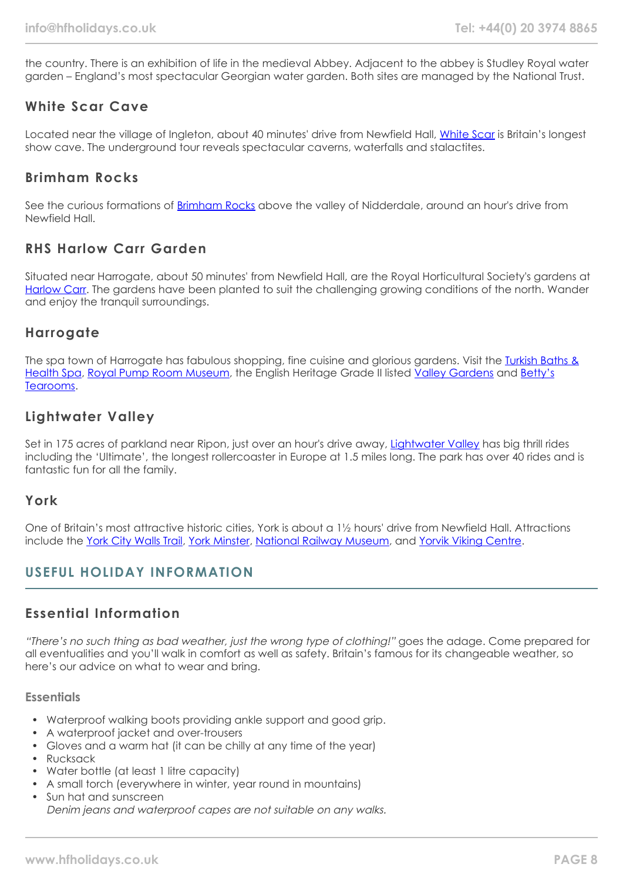the country. There is an exhibition of life in the medieval Abbey. Adjacent to the abbey is Studley Royal water garden – England's most spectacular Georgian water garden. Both sites are managed by the National Trust.

## **White Scar Cave**

Located near the village of Ingleton, about 40 minutes' drive from Newfield Hall, [White Scar](https://whitescarcave.co.uk/) is Britain's longest show cave. The underground tour reveals spectacular caverns, waterfalls and stalactites.

# **Brimham Rocks**

See the curious formations of [Brimham Rocks](https://www.nationaltrust.org.uk/brimham-rocks) above the valley of Nidderdale, around an hour's drive from Newfield Hall.

# **RHS Harlow Carr Garden**

Situated near Harrogate, about 50 minutes' from Newfield Hall, are the Royal Horticultural Society's gardens at [Harlow Carr](https://www.rhs.org.uk/gardens/harlow-carr). The gardens have been planted to suit the challenging growing conditions of the north. Wander and enjoy the tranquil surroundings.

## **Harrogate**

The spa town of Harrogate has fabulous shopping, fine cuisine and glorious gardens. Visit the [Turkish Baths &](https://www.turkishbathsharrogate.co.uk/) [Health Spa](https://www.turkishbathsharrogate.co.uk/), [Royal Pump Room Museum](https://www.visitharrogate.co.uk/things-to-do/royal-pump-room-museum-p1305451), the English Heritage Grade II listed [Valley Gardens](https://www.visitharrogate.co.uk/things-to-do/valley-gardens-harrogate-p1205921) and [Betty's](https://www.bettys.co.uk/cafe-tea-rooms/our-locations/bettys-harrogate) [Tearooms.](https://www.bettys.co.uk/cafe-tea-rooms/our-locations/bettys-harrogate)

# **Lightwater Valley**

Set in 175 acres of parkland near Ripon, just over an hour's drive away, [Lightwater Valley](https://www.lightwatervalley.co.uk/) has big thrill rides including the 'Ultimate', the longest rollercoaster in Europe at 1.5 miles long. The park has over 40 rides and is fantastic fun for all the family.

#### **York**

One of Britain's most attractive historic cities, York is about a 1½ hours' drive from Newfield Hall. Attractions include the [York City Walls Trail,](https://www.yorkwalls.org.uk/?page_id=3690) [York Minster,](https://yorkminster.org/) [National Railway Museum](https://www.railwaymuseum.org.uk/), and [Yorvik Viking Centre.](https://www.jorvikvikingcentre.co.uk/)

# **USEFUL HOLIDAY INFORMATION**

# **Essential Information**

"There's no such thing as bad weather, just the wrong type of clothing!" goes the adage. Come prepared for all eventualities and you'll walk in comfort as well as safety. Britain's famous for its changeable weather, so here's our advice on what to wear and bring.

#### **Essentials**

- Waterproof walking boots providing ankle support and good grip.
- A waterproof jacket and over-trousers
- Gloves and a warm hat (it can be chilly at any time of the year)
- Rucksack
- Water bottle (at least 1 litre capacity)
- A small torch (everywhere in winter, year round in mountains)
- Sun hat and sunscreen Denim jeans and waterproof capes are not suitable on any walks.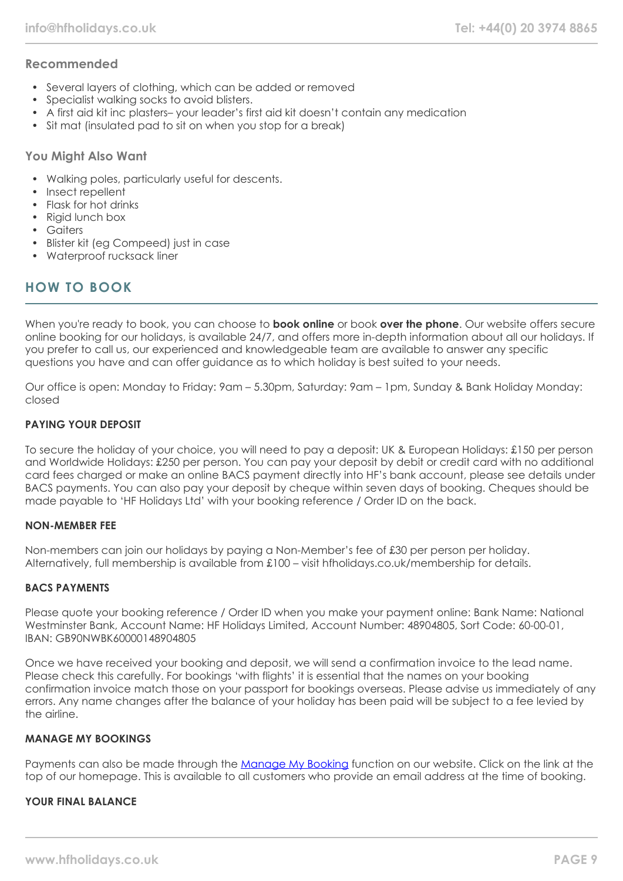#### **Recommended**

- Several layers of clothing, which can be added or removed
- Specialist walking socks to avoid blisters.
- A first aid kit inc plasters– your leader's first aid kit doesn't contain any medication
- Sit mat (insulated pad to sit on when you stop for a break)

#### **You Might Also Want**

- Walking poles, particularly useful for descents.
- Insect repellent
- Flask for hot drinks
- Rigid lunch box
- Gaiters
- Blister kit (eg Compeed) just in case
- Waterproof rucksack liner

# **HOW TO BOOK**

When you're ready to book, you can choose to **book online** or book **over the phone**. Our website offers secure online booking for our holidays, is available 24/7, and offers more in-depth information about all our holidays. If you prefer to call us, our experienced and knowledgeable team are available to answer any specific questions you have and can offer guidance as to which holiday is best suited to your needs.

Our office is open: Monday to Friday: 9am – 5.30pm, Saturday: 9am – 1pm, Sunday & Bank Holiday Monday: closed

#### **PAYING YOUR DEPOSIT**

To secure the holiday of your choice, you will need to pay a deposit: UK & European Holidays: £150 per person and Worldwide Holidays: £250 per person. You can pay your deposit by debit or credit card with no additional card fees charged or make an online BACS payment directly into HF's bank account, please see details under BACS payments. You can also pay your deposit by cheque within seven days of booking. Cheques should be made payable to 'HF Holidays Ltd' with your booking reference / Order ID on the back.

#### **NON-MEMBER FEE**

Non-members can join our holidays by paying a Non-Member's fee of £30 per person per holiday. Alternatively, full membership is available from £100 – visit hfholidays.co.uk/membership for details.

#### **BACS PAYMENTS**

Please quote your booking reference / Order ID when you make your payment online: Bank Name: National Westminster Bank, Account Name: HF Holidays Limited, Account Number: 48904805, Sort Code: 60-00-01, IBAN: GB90NWBK60000148904805

Once we have received your booking and deposit, we will send a confirmation invoice to the lead name. Please check this carefully. For bookings 'with flights' it is essential that the names on your booking confirmation invoice match those on your passport for bookings overseas. Please advise us immediately of any errors. Any name changes after the balance of your holiday has been paid will be subject to a fee levied by the airline.

#### **MANAGE MY BOOKINGS**

Payments can also be made through the [Manage My Booking](https://www.hfholidays.co.uk/about-us/bookings/my-booking) function on our website. Click on the link at the top of our homepage. This is available to all customers who provide an email address at the time of booking.

#### **YOUR FINAL BALANCE**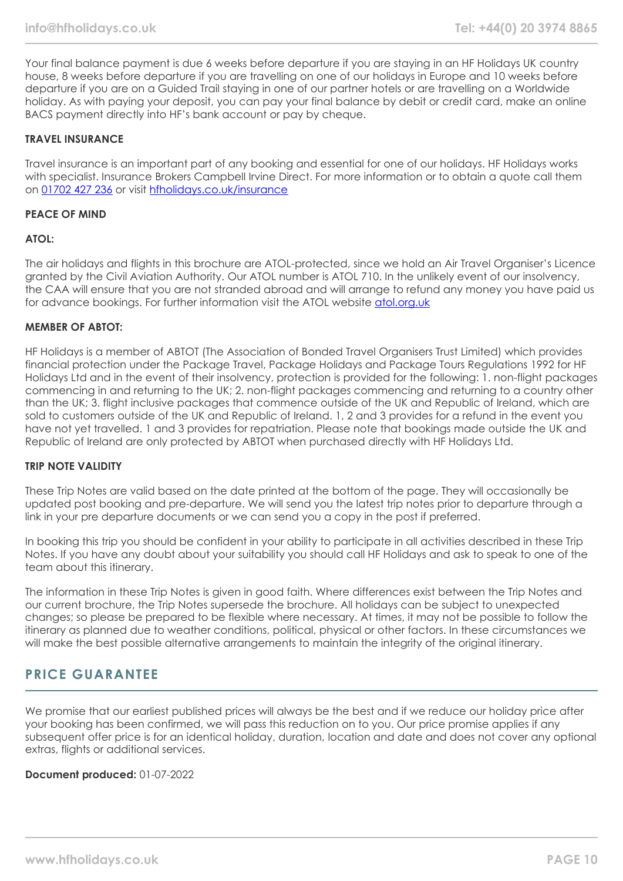Your final balance payment is due 6 weeks before departure if you are staying in an HF Holidays UK country house, 8 weeks before departure if you are travelling on one of our holidays in Europe and 10 weeks before departure if you are on a Guided Trail staying in one of our partner hotels or are travelling on a Worldwide holiday. As with paying your deposit, you can pay your final balance by debit or credit card, make an online BACS payment directly into HF's bank account or pay by cheque.

#### **TRAVEL INSURANCE**

Travel insurance is an important part of any booking and essential for one of our holidays. HF Holidays works with specialist. Insurance Brokers Campbell Irvine Direct. For more information or to obtain a quote call them on [01702 427 236](tel:01702427236) or visit [hfholidays.co.uk/insurance](https://www.hfholidays.co.uk/about-us/bookings/insurance)

#### **PEACE OF MIND**

#### **ATOL:**

The air holidays and flights in this brochure are ATOL-protected, since we hold an Air Travel Organiser's Licence granted by the Civil Aviation Authority. Our ATOL number is ATOL 710. In the unlikely event of our insolvency, the CAA will ensure that you are not stranded abroad and will arrange to refund any money you have paid us for advance bookings. For further information visit the ATOL website [atol.org.uk](https://www.atol.org/)

#### **MEMBER OF ABTOT:**

HF Holidays is a member of ABTOT (The Association of Bonded Travel Organisers Trust Limited) which provides financial protection under the Package Travel, Package Holidays and Package Tours Regulations 1992 for HF Holidays Ltd and in the event of their insolvency, protection is provided for the following: 1. non-flight packages commencing in and returning to the UK; 2. non-flight packages commencing and returning to a country other than the UK; 3. flight inclusive packages that commence outside of the UK and Republic of Ireland, which are sold to customers outside of the UK and Republic of Ireland. 1, 2 and 3 provides for a refund in the event you have not yet travelled. 1 and 3 provides for repatriation. Please note that bookings made outside the UK and Republic of Ireland are only protected by ABTOT when purchased directly with HF Holidays Ltd.

#### **TRIP NOTE VALIDITY**

These Trip Notes are valid based on the date printed at the bottom of the page. They will occasionally be updated post booking and pre-departure. We will send you the latest trip notes prior to departure through a link in your pre departure documents or we can send you a copy in the post if preferred.

In booking this trip you should be confident in your ability to participate in all activities described in these Trip Notes. If you have any doubt about your suitability you should call HF Holidays and ask to speak to one of the team about this itinerary.

The information in these Trip Notes is given in good faith. Where differences exist between the Trip Notes and our current brochure, the Trip Notes supersede the brochure. All holidays can be subject to unexpected changes; so please be prepared to be flexible where necessary. At times, it may not be possible to follow the itinerary as planned due to weather conditions, political, physical or other factors. In these circumstances we will make the best possible alternative arrangements to maintain the integrity of the original itinerary.

#### **PRICE GUARANTEE**

We promise that our earliest published prices will always be the best and if we reduce our holiday price after your booking has been confirmed, we will pass this reduction on to you. Our price promise applies if any subsequent offer price is for an identical holiday, duration, location and date and does not cover any optional extras, flights or additional services.

**Document produced:** 01-07-2022